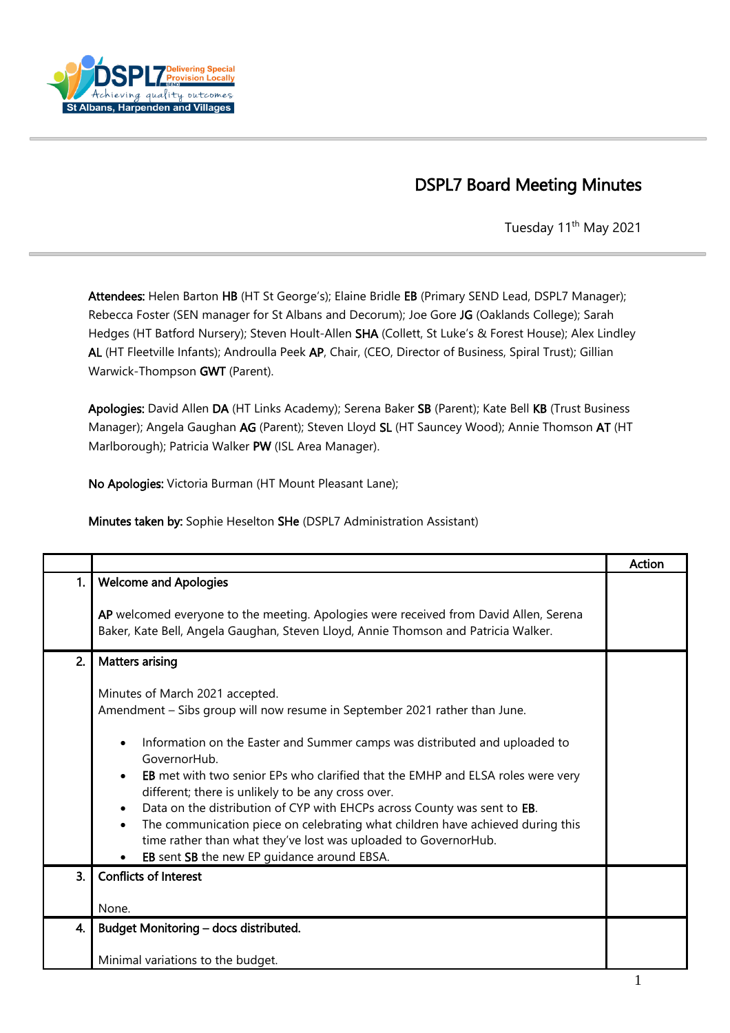

## DSPL7 Board Meeting Minutes

Tuesday 11<sup>th</sup> May 2021

Attendees: Helen Barton HB (HT St George's); Elaine Bridle EB (Primary SEND Lead, DSPL7 Manager); Rebecca Foster (SEN manager for St Albans and Decorum); Joe Gore JG (Oaklands College); Sarah Hedges (HT Batford Nursery); Steven Hoult-Allen SHA (Collett, St Luke's & Forest House); Alex Lindley AL (HT Fleetville Infants); Androulla Peek AP, Chair, (CEO, Director of Business, Spiral Trust); Gillian Warwick-Thompson GWT (Parent).

Apologies: David Allen DA (HT Links Academy); Serena Baker SB (Parent); Kate Bell KB (Trust Business Manager); Angela Gaughan AG (Parent); Steven Lloyd SL (HT Sauncey Wood); Annie Thomson AT (HT Marlborough); Patricia Walker PW (ISL Area Manager).

No Apologies: Victoria Burman (HT Mount Pleasant Lane);

Minutes taken by: Sophie Heselton SHe (DSPL7 Administration Assistant)

|    |                                                                                                                                                                                      | Action |
|----|--------------------------------------------------------------------------------------------------------------------------------------------------------------------------------------|--------|
| 1. | <b>Welcome and Apologies</b>                                                                                                                                                         |        |
|    | AP welcomed everyone to the meeting. Apologies were received from David Allen, Serena<br>Baker, Kate Bell, Angela Gaughan, Steven Lloyd, Annie Thomson and Patricia Walker.          |        |
| 2. | <b>Matters arising</b>                                                                                                                                                               |        |
|    | Minutes of March 2021 accepted.                                                                                                                                                      |        |
|    | Amendment - Sibs group will now resume in September 2021 rather than June.                                                                                                           |        |
|    | Information on the Easter and Summer camps was distributed and uploaded to<br>$\bullet$<br>GovernorHub.                                                                              |        |
|    | <b>EB</b> met with two senior EPs who clarified that the EMHP and ELSA roles were very<br>$\bullet$<br>different; there is unlikely to be any cross over.                            |        |
|    | Data on the distribution of CYP with EHCPs across County was sent to EB.<br>$\bullet$<br>The communication piece on celebrating what children have achieved during this<br>$\bullet$ |        |
|    | time rather than what they've lost was uploaded to GovernorHub.                                                                                                                      |        |
|    | EB sent SB the new EP guidance around EBSA.<br>$\bullet$<br><b>Conflicts of Interest</b>                                                                                             |        |
| 3. |                                                                                                                                                                                      |        |
|    | None.                                                                                                                                                                                |        |
| 4. | Budget Monitoring - docs distributed.                                                                                                                                                |        |
|    | Minimal variations to the budget.                                                                                                                                                    |        |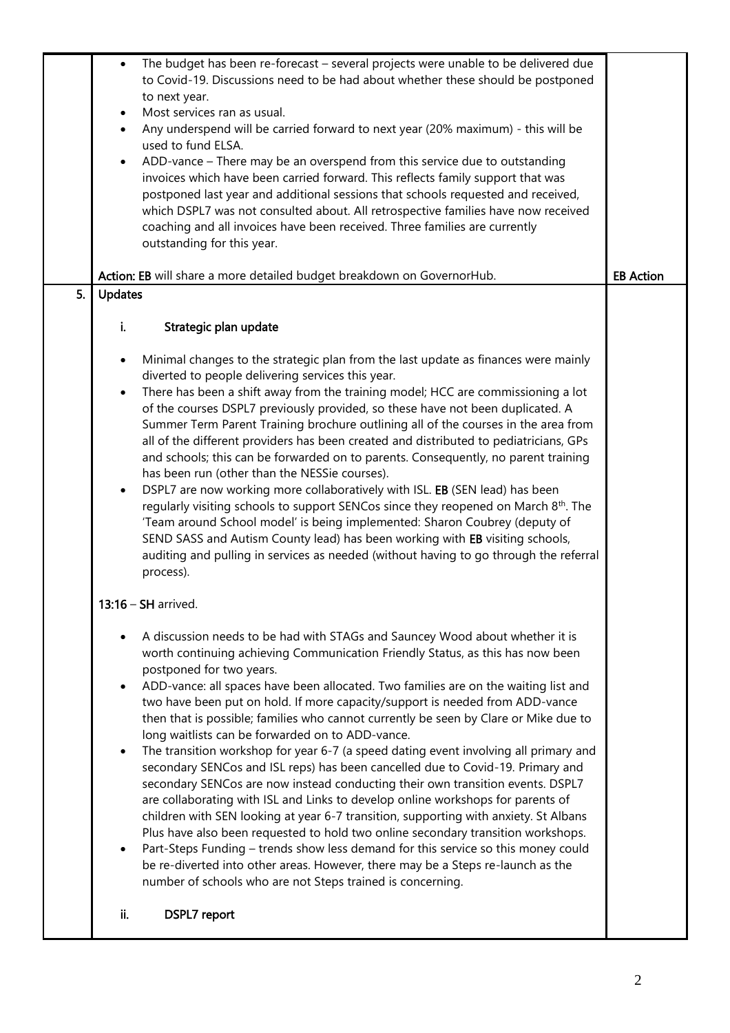|    | The budget has been re-forecast - several projects were unable to be delivered due<br>$\bullet$<br>to Covid-19. Discussions need to be had about whether these should be postponed<br>to next year.<br>Most services ran as usual.<br>$\bullet$<br>Any underspend will be carried forward to next year (20% maximum) - this will be<br>$\bullet$<br>used to fund ELSA.<br>ADD-vance - There may be an overspend from this service due to outstanding<br>$\bullet$<br>invoices which have been carried forward. This reflects family support that was<br>postponed last year and additional sessions that schools requested and received,<br>which DSPL7 was not consulted about. All retrospective families have now received<br>coaching and all invoices have been received. Three families are currently<br>outstanding for this year.                                                                                                                                                                                                                                                                                                                                                                                                                                                                                          |                  |
|----|------------------------------------------------------------------------------------------------------------------------------------------------------------------------------------------------------------------------------------------------------------------------------------------------------------------------------------------------------------------------------------------------------------------------------------------------------------------------------------------------------------------------------------------------------------------------------------------------------------------------------------------------------------------------------------------------------------------------------------------------------------------------------------------------------------------------------------------------------------------------------------------------------------------------------------------------------------------------------------------------------------------------------------------------------------------------------------------------------------------------------------------------------------------------------------------------------------------------------------------------------------------------------------------------------------------------------------|------------------|
|    | Action: EB will share a more detailed budget breakdown on GovernorHub.                                                                                                                                                                                                                                                                                                                                                                                                                                                                                                                                                                                                                                                                                                                                                                                                                                                                                                                                                                                                                                                                                                                                                                                                                                                             | <b>EB Action</b> |
| 5. | <b>Updates</b>                                                                                                                                                                                                                                                                                                                                                                                                                                                                                                                                                                                                                                                                                                                                                                                                                                                                                                                                                                                                                                                                                                                                                                                                                                                                                                                     |                  |
|    | i.<br>Strategic plan update                                                                                                                                                                                                                                                                                                                                                                                                                                                                                                                                                                                                                                                                                                                                                                                                                                                                                                                                                                                                                                                                                                                                                                                                                                                                                                        |                  |
|    | Minimal changes to the strategic plan from the last update as finances were mainly<br>$\bullet$<br>diverted to people delivering services this year.<br>There has been a shift away from the training model; HCC are commissioning a lot<br>$\bullet$<br>of the courses DSPL7 previously provided, so these have not been duplicated. A<br>Summer Term Parent Training brochure outlining all of the courses in the area from<br>all of the different providers has been created and distributed to pediatricians, GPs<br>and schools; this can be forwarded on to parents. Consequently, no parent training<br>has been run (other than the NESSie courses).<br>DSPL7 are now working more collaboratively with ISL. EB (SEN lead) has been<br>$\bullet$<br>regularly visiting schools to support SENCos since they reopened on March 8 <sup>th</sup> . The<br>'Team around School model' is being implemented: Sharon Coubrey (deputy of<br>SEND SASS and Autism County lead) has been working with EB visiting schools,<br>auditing and pulling in services as needed (without having to go through the referral<br>process).                                                                                                                                                                                                   |                  |
|    | 13:16 - SH arrived.                                                                                                                                                                                                                                                                                                                                                                                                                                                                                                                                                                                                                                                                                                                                                                                                                                                                                                                                                                                                                                                                                                                                                                                                                                                                                                                |                  |
|    | A discussion needs to be had with STAGs and Sauncey Wood about whether it is<br>$\bullet$<br>worth continuing achieving Communication Friendly Status, as this has now been<br>postponed for two years.<br>ADD-vance: all spaces have been allocated. Two families are on the waiting list and<br>$\bullet$<br>two have been put on hold. If more capacity/support is needed from ADD-vance<br>then that is possible; families who cannot currently be seen by Clare or Mike due to<br>long waitlists can be forwarded on to ADD-vance.<br>The transition workshop for year 6-7 (a speed dating event involving all primary and<br>$\bullet$<br>secondary SENCos and ISL reps) has been cancelled due to Covid-19. Primary and<br>secondary SENCos are now instead conducting their own transition events. DSPL7<br>are collaborating with ISL and Links to develop online workshops for parents of<br>children with SEN looking at year 6-7 transition, supporting with anxiety. St Albans<br>Plus have also been requested to hold two online secondary transition workshops.<br>Part-Steps Funding - trends show less demand for this service so this money could<br>$\bullet$<br>be re-diverted into other areas. However, there may be a Steps re-launch as the<br>number of schools who are not Steps trained is concerning. |                  |
|    | ii.<br><b>DSPL7</b> report                                                                                                                                                                                                                                                                                                                                                                                                                                                                                                                                                                                                                                                                                                                                                                                                                                                                                                                                                                                                                                                                                                                                                                                                                                                                                                         |                  |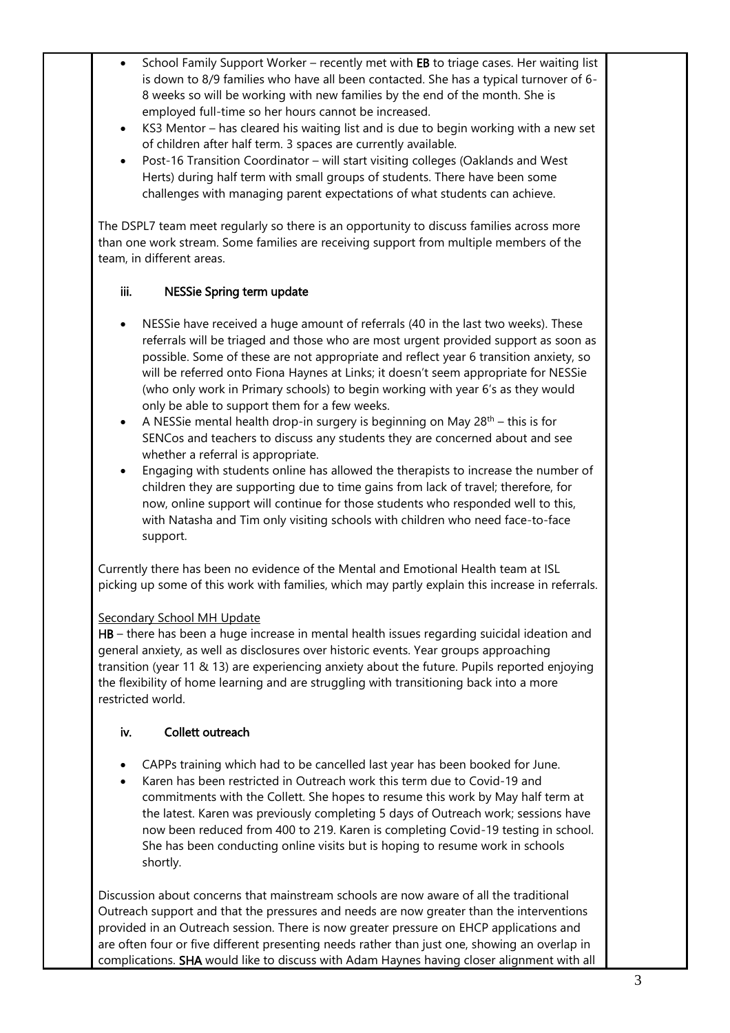- School Family Support Worker recently met with EB to triage cases. Her waiting list is down to 8/9 families who have all been contacted. She has a typical turnover of 6- 8 weeks so will be working with new families by the end of the month. She is employed full-time so her hours cannot be increased.
- KS3 Mentor has cleared his waiting list and is due to begin working with a new set of children after half term. 3 spaces are currently available.
- Post-16 Transition Coordinator will start visiting colleges (Oaklands and West Herts) during half term with small groups of students. There have been some challenges with managing parent expectations of what students can achieve.

The DSPL7 team meet regularly so there is an opportunity to discuss families across more than one work stream. Some families are receiving support from multiple members of the team, in different areas.

#### iii. NESSie Spring term update

- NESSie have received a huge amount of referrals (40 in the last two weeks). These referrals will be triaged and those who are most urgent provided support as soon as possible. Some of these are not appropriate and reflect year 6 transition anxiety, so will be referred onto Fiona Haynes at Links; it doesn't seem appropriate for NESSie (who only work in Primary schools) to begin working with year 6's as they would only be able to support them for a few weeks.
- A NESSie mental health drop-in surgery is beginning on May  $28<sup>th</sup>$  this is for SENCos and teachers to discuss any students they are concerned about and see whether a referral is appropriate.
- Engaging with students online has allowed the therapists to increase the number of children they are supporting due to time gains from lack of travel; therefore, for now, online support will continue for those students who responded well to this, with Natasha and Tim only visiting schools with children who need face-to-face support.

Currently there has been no evidence of the Mental and Emotional Health team at ISL picking up some of this work with families, which may partly explain this increase in referrals.

### Secondary School MH Update

HB – there has been a huge increase in mental health issues regarding suicidal ideation and general anxiety, as well as disclosures over historic events. Year groups approaching transition (year 11 & 13) are experiencing anxiety about the future. Pupils reported enjoying the flexibility of home learning and are struggling with transitioning back into a more restricted world.

### iv. Collett outreach

- CAPPs training which had to be cancelled last year has been booked for June.
- Karen has been restricted in Outreach work this term due to Covid-19 and commitments with the Collett. She hopes to resume this work by May half term at the latest. Karen was previously completing 5 days of Outreach work; sessions have now been reduced from 400 to 219. Karen is completing Covid-19 testing in school. She has been conducting online visits but is hoping to resume work in schools shortly.

Discussion about concerns that mainstream schools are now aware of all the traditional Outreach support and that the pressures and needs are now greater than the interventions provided in an Outreach session. There is now greater pressure on EHCP applications and are often four or five different presenting needs rather than just one, showing an overlap in complications. SHA would like to discuss with Adam Haynes having closer alignment with all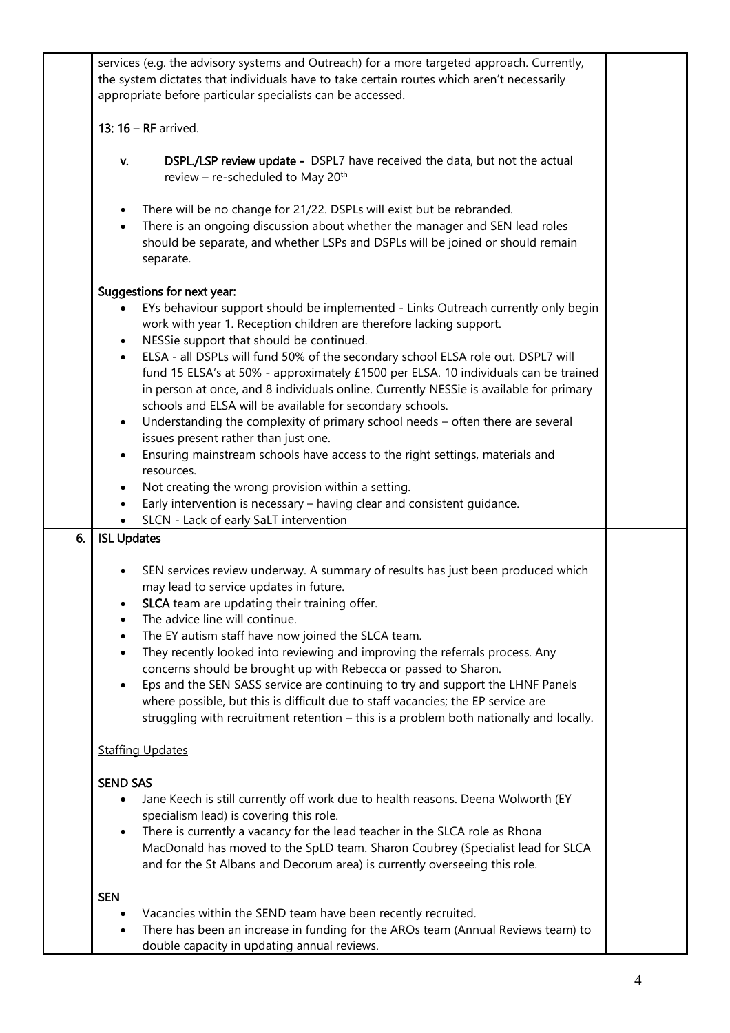|    | services (e.g. the advisory systems and Outreach) for a more targeted approach. Currently,<br>the system dictates that individuals have to take certain routes which aren't necessarily<br>appropriate before particular specialists can be accessed.                                                                                                                                                                                                                                                                                                                                                                                                                                                                                                                                                                                                                                                                                                                                                                                    |  |
|----|------------------------------------------------------------------------------------------------------------------------------------------------------------------------------------------------------------------------------------------------------------------------------------------------------------------------------------------------------------------------------------------------------------------------------------------------------------------------------------------------------------------------------------------------------------------------------------------------------------------------------------------------------------------------------------------------------------------------------------------------------------------------------------------------------------------------------------------------------------------------------------------------------------------------------------------------------------------------------------------------------------------------------------------|--|
|    | 13: $16 - RF$ arrived.                                                                                                                                                                                                                                                                                                                                                                                                                                                                                                                                                                                                                                                                                                                                                                                                                                                                                                                                                                                                                   |  |
|    | <b>DSPL./LSP review update -</b> DSPL7 have received the data, but not the actual<br>V.<br>review - re-scheduled to May 20 <sup>th</sup>                                                                                                                                                                                                                                                                                                                                                                                                                                                                                                                                                                                                                                                                                                                                                                                                                                                                                                 |  |
|    | There will be no change for 21/22. DSPLs will exist but be rebranded.<br>$\bullet$<br>There is an ongoing discussion about whether the manager and SEN lead roles<br>$\bullet$<br>should be separate, and whether LSPs and DSPLs will be joined or should remain<br>separate.                                                                                                                                                                                                                                                                                                                                                                                                                                                                                                                                                                                                                                                                                                                                                            |  |
|    | Suggestions for next year:<br>EYs behaviour support should be implemented - Links Outreach currently only begin<br>work with year 1. Reception children are therefore lacking support.<br>NESSie support that should be continued.<br>$\bullet$<br>ELSA - all DSPLs will fund 50% of the secondary school ELSA role out. DSPL7 will<br>$\bullet$<br>fund 15 ELSA's at 50% - approximately £1500 per ELSA. 10 individuals can be trained<br>in person at once, and 8 individuals online. Currently NESSie is available for primary<br>schools and ELSA will be available for secondary schools.<br>Understanding the complexity of primary school needs - often there are several<br>$\bullet$<br>issues present rather than just one.<br>Ensuring mainstream schools have access to the right settings, materials and<br>resources.<br>Not creating the wrong provision within a setting.<br>$\bullet$<br>Early intervention is necessary - having clear and consistent guidance.<br>$\bullet$<br>SLCN - Lack of early SaLT intervention |  |
| 6. | <b>ISL Updates</b>                                                                                                                                                                                                                                                                                                                                                                                                                                                                                                                                                                                                                                                                                                                                                                                                                                                                                                                                                                                                                       |  |
|    | SEN services review underway. A summary of results has just been produced which<br>may lead to service updates in future.<br>SLCA team are updating their training offer.<br>The advice line will continue.<br>The EY autism staff have now joined the SLCA team.<br>$\bullet$<br>They recently looked into reviewing and improving the referrals process. Any<br>$\bullet$<br>concerns should be brought up with Rebecca or passed to Sharon.<br>Eps and the SEN SASS service are continuing to try and support the LHNF Panels<br>$\bullet$<br>where possible, but this is difficult due to staff vacancies; the EP service are<br>struggling with recruitment retention - this is a problem both nationally and locally.                                                                                                                                                                                                                                                                                                              |  |
|    | <b>Staffing Updates</b>                                                                                                                                                                                                                                                                                                                                                                                                                                                                                                                                                                                                                                                                                                                                                                                                                                                                                                                                                                                                                  |  |
|    | <b>SEND SAS</b><br>Jane Keech is still currently off work due to health reasons. Deena Wolworth (EY<br>specialism lead) is covering this role.<br>There is currently a vacancy for the lead teacher in the SLCA role as Rhona<br>$\bullet$<br>MacDonald has moved to the SpLD team. Sharon Coubrey (Specialist lead for SLCA<br>and for the St Albans and Decorum area) is currently overseeing this role.                                                                                                                                                                                                                                                                                                                                                                                                                                                                                                                                                                                                                               |  |
|    | <b>SEN</b><br>Vacancies within the SEND team have been recently recruited.<br>There has been an increase in funding for the AROs team (Annual Reviews team) to<br>double capacity in updating annual reviews.                                                                                                                                                                                                                                                                                                                                                                                                                                                                                                                                                                                                                                                                                                                                                                                                                            |  |